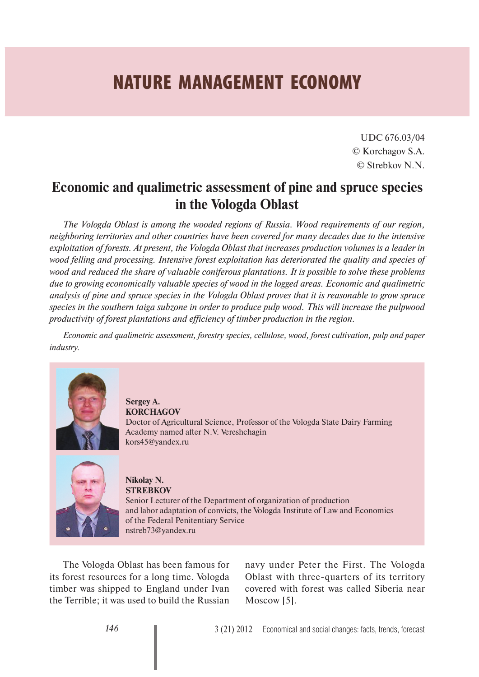## **NATURE MANAGEMENT ECONOMY**

UDC 676.03/04 © Korchagov S.А. © Strebkov N.N.

## **Economic and qualimetric assessment of pine and spruce species in the Vologda Oblast**

*The Vologda Oblast is among the wooded regions of Russia. Wood requirements of our region, neighboring territories and other countries have been covered for many decades due to the intensive exploitation of forests. At present, the Vologda Oblast that increases production volumes is a leader in wood felling and processing. Intensive forest exploitation has deteriorated the quality and species of wood and reduced the share of valuable coniferous plantations. It is possible to solve these problems due to growing economically valuable species of wood in the logged areas. Economic and qualimetric analysis of pine and spruce species in the Vologda Oblast proves that it is reasonable to grow spruce species in the southern taiga subzone in order to produce pulp wood. This will increase the pulpwood productivity of forest plantations and efficiency of timber production in the region.* 

*Economic and qualimetric assessment, forestry species, cellulose, wood, forest cultivation, pulp and paper industry.*



**Sergey A. KORCHAGOV** Doctor of Agricultural Science, Professor of the Vologda State Dairy Farming Academy named after N.V. Vereshchagin kors45@yandex.ru



**Nikolay N. STREBKOV** Senior Lecturer of the Department of organization of production and labor adaptation of convicts, the Vologda Institute of Law and Economics of the Federal Penitentiary Service nstreb73@yandex.ru

The Vologda Oblast has been famous for its forest resources for a long time. Vologda timber was shipped to England under Ivan the Terrible; it was used to build the Russian

navy under Peter the First. The Vologda Oblast with three-quarters of its territory covered with forest was called Siberia near Moscow [5].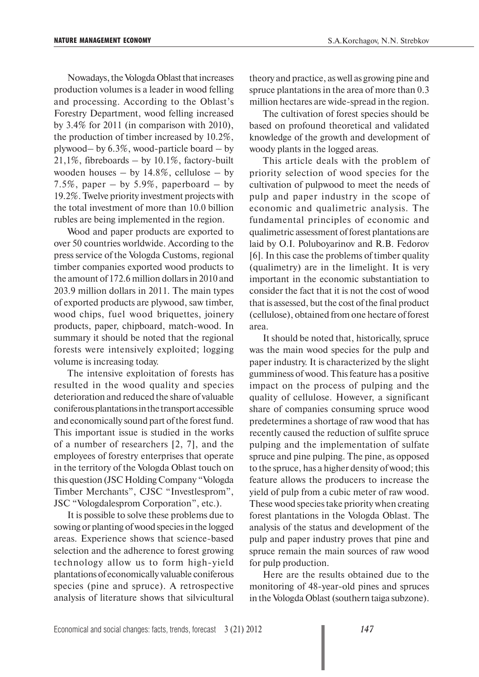Nowadays, the Vologda Oblast that increases production volumes is a leader in wood felling and processing. According to the Oblast's Forestry Department, wood felling increased by 3.4% for 2011 (in comparison with 2010), the production of timber increased by 10.2%, plywood– by 6.3%, wood-particle board – by 21,1%, fibreboards – by 10.1%, factory-built wooden houses – by  $14.8\%$ , cellulose – by 7.5%, paper – by 5.9%, paperboard – by 19.2%. Twelve priority investment projects with the total investment of more than 10.0 billion rubles are being implemented in the region.

Wood and paper products are exported to over 50 countries worldwide. According to the press service of the Vologda Customs, regional timber companies exported wood products to the amount of 172.6 million dollars in 2010 and 203.9 million dollars in 2011. The main types of exported products are plywood, saw timber, wood chips, fuel wood briquettes, joinery products, paper, chipboard, match-wood. In summary it should be noted that the regional forests were intensively exploited; logging volume is increasing today.

The intensive exploitation of forests has resulted in the wood quality and species deterioration and reduced the share of valuable coniferous plantations in the transport accessible and economically sound part of the forest fund. This important issue is studied in the works of a number of researchers [2, 7], and the employees of forestry enterprises that operate in the territory of the Vologda Oblast touch on this question (JSC Holding Company "Vologda Timber Merchants", CJSC "Investlesprom", JSC "Vologdalesprom Corporation", etc.).

It is possible to solve these problems due to sowing or planting of wood species in the logged areas. Experience shows that science-based selection and the adherence to forest growing technology allow us to form high-yield plantations of economically valuable coniferous species (pine and spruce). A retrospective analysis of literature shows that silvicultural theory and practice, as well as growing pine and spruce plantations in the area of more than 0.3 million hectares are wide-spread in the region.

The cultivation of forest species should be based on profound theoretical and validated knowledge of the growth and development of woody plants in the logged areas.

This article deals with the problem of priority selection of wood species for the cultivation of pulpwood to meet the needs of pulp and paper industry in the scope of economic and qualimetric analysis. The fundamental principles of economic and qualimetric assessment of forest plantations are laid by O.I. Poluboyarinov and R.B. Fedorov [6]. In this case the problems of timber quality (qualimetry) are in the limelight. It is very important in the economic substantiation to consider the fact that it is not the cost of wood that is assessed, but the cost of the final product (cellulose), obtained from one hectare of forest area.

It should be noted that, historically, spruce was the main wood species for the pulp and paper industry. It is characterized by the slight gumminess of wood. This feature has a positive impact on the process of pulping and the quality of cellulose. However, a significant share of companies consuming spruce wood predetermines a shortage of raw wood that has recently caused the reduction of sulfite spruce pulping and the implementation of sulfate spruce and pine pulping. The pine, as opposed to the spruce, has a higher density of wood; this feature allows the producers to increase the yield of pulp from a cubic meter of raw wood. These wood species take priority when creating forest plantations in the Vologda Oblast. The analysis of the status and development of the pulp and paper industry proves that pine and spruce remain the main sources of raw wood for pulp production.

Here are the results obtained due to the monitoring of 48-year-old pines and spruces in the Vologda Oblast (southern taiga subzone).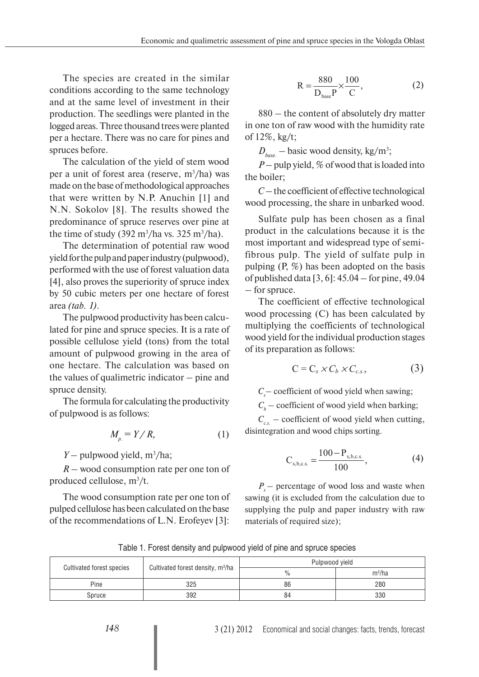The species are created in the similar conditions according to the same technology and at the same level of investment in their production. The seedlings were planted in the logged areas. Three thousand trees were planted per a hectare. There was no care for pines and spruces before.

The calculation of the yield of stem wood per a unit of forest area (reserve,  $m^3/ha$ ) was made on the base of methodological approaches that were written by N.P. Anuchin [1] and N.N. Sokolov [8]. The results showed the predominance of spruce reserves over pine at the time of study  $(392 \text{ m}^3/\text{ha} \text{ vs. } 325 \text{ m}^3/\text{ha}).$ 

The determination of potential raw wood yield for the pulp and paper industry (pulpwood), performed with the use of forest valuation data [4], also proves the superiority of spruce index by 50 cubic meters per one hectare of forest area *(tab. 1)*.

The pulpwood productivity has been calculated for pine and spruce species. It is a rate of possible cellulose yield (tons) from the total amount of pulpwood growing in the area of one hectare. The calculation was based on the values of qualimetric indicator – pine and spruce density.

The formula for calculating the productivity of pulpwood is as follows:

$$
M_{p} = Y/R, \tag{1}
$$

*Y* – pulpwood yield, m<sup>3</sup>/ha;

*R –* wood consumption rate per one ton of produced cellulose,  $m^3/t$ .

The wood consumption rate per one ton of pulped cellulose has been calculated on the base of the recommendations of L.N. Erofeyev [3]:

$$
R = \frac{880}{D_{base}P} \times \frac{100}{C},
$$
 (2)

880 – the content of absolutely dry matter in one ton of raw wood with the humidity rate of 12%, kg/t;

 $D_{base}$  – basic wood density, kg/m<sup>3</sup>;

 $P$  – pulp yield, % of wood that is loaded into the boiler;

*C* – the coefficient of effective technological wood processing, the share in unbarked wood.

Sulfate pulp has been chosen as a final product in the calculations because it is the most important and widespread type of semifibrous pulp. The yield of sulfate pulp in pulping (P, %) has been adopted on the basis of published data [3, 6]: 45.04 – for pine, 49.04 – for spruce.

The coefficient of effective technological wood processing (C) has been calculated by multiplying the coefficients of technological wood yield for the individual production stages of its preparation as follows:

$$
C = C_s \times C_b \times C_{c.s.}, \qquad (3)
$$

 $C_s$  – coefficient of wood yield when sawing;

 $C_b$  – coefficient of wood yield when barking;

 $C_{cs}$  – coefficient of wood yield when cutting, disintegration and wood chips sorting.

$$
C_{s,b,c.s.} = \frac{100 - P_{s,b,c.s.}}{100},
$$
\n(4)

*P<sub>s</sub>* – percentage of wood loss and waste when sawing (it is excluded from the calculation due to supplying the pulp and paper industry with raw materials of required size);

Тable 1. Forest density and pulpwood yield of pine and spruce species

| <b>Cultivated forest species</b> | Cultivated forest density, m <sup>3</sup> /ha | Pulpwood yield |          |  |
|----------------------------------|-----------------------------------------------|----------------|----------|--|
|                                  |                                               | $\frac{0}{0}$  | $m^3/ha$ |  |
| Pine                             | 325                                           | 86             | 280      |  |
| Spruce                           | 392                                           | 84             | 330      |  |